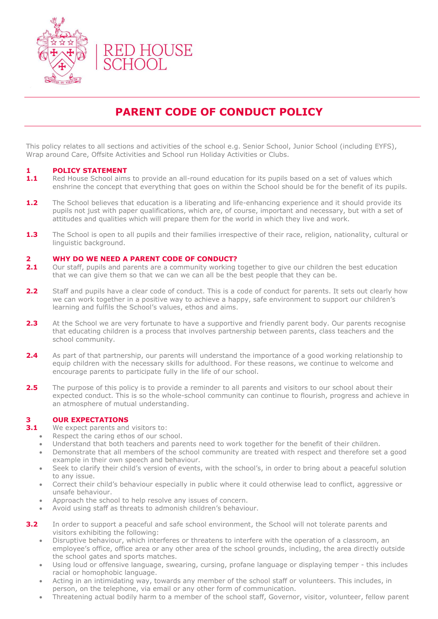

## **PARENT CODE OF CONDUCT POLICY**

This policy relates to all sections and activities of the school e.g. Senior School, Junior School (including EYFS), Wrap around Care, Offsite Activities and School run Holiday Activities or Clubs.

### **1 POLICY STATEMENT**

- **1.1** Red House School aims to provide an all-round education for its pupils based on a set of values which enshrine the concept that everything that goes on within the School should be for the benefit of its pupils.
- **1.2** The School believes that education is a liberating and life-enhancing experience and it should provide its pupils not just with paper qualifications, which are, of course, important and necessary, but with a set of attitudes and qualities which will prepare them for the world in which they live and work.
- **1.3** The School is open to all pupils and their families irrespective of their race, religion, nationality, cultural or linguistic background.

#### **2 WHY DO WE NEED A PARENT CODE OF CONDUCT?**

- **2.1** Our staff, pupils and parents are a community working together to give our children the best education that we can give them so that we can we can all be the best people that they can be.
- **2.2** Staff and pupils have a clear code of conduct. This is a code of conduct for parents. It sets out clearly how we can work together in a positive way to achieve a happy, safe environment to support our children's learning and fulfils the School's values, ethos and aims.
- **2.3** At the School we are very fortunate to have a supportive and friendly parent body. Our parents recognise that educating children is a process that involves partnership between parents, class teachers and the school community.
- **2.4** As part of that partnership, our parents will understand the importance of a good working relationship to equip children with the necessary skills for adulthood. For these reasons, we continue to welcome and encourage parents to participate fully in the life of our school.
- **2.5** The purpose of this policy is to provide a reminder to all parents and visitors to our school about their expected conduct. This is so the whole-school community can continue to flourish, progress and achieve in an atmosphere of mutual understanding.

# **3.1 OUR EXPECTATIONS**<br>**3.1** We expect parents and

- We expect parents and visitors to:
	- Respect the caring ethos of our school.
	- Understand that both teachers and parents need to work together for the benefit of their children.
	- Demonstrate that all members of the school community are treated with respect and therefore set a good example in their own speech and behaviour.
	- Seek to clarify their child's version of events, with the school's, in order to bring about a peaceful solution to any issue.
	- Correct their child's behaviour especially in public where it could otherwise lead to conflict, aggressive or unsafe behaviour.
	- Approach the school to help resolve any issues of concern.
	- Avoid using staff as threats to admonish children's behaviour.
- **3.2** In order to support a peaceful and safe school environment, the School will not tolerate parents and visitors exhibiting the following:
	- Disruptive behaviour, which interferes or threatens to interfere with the operation of a classroom, an employee's office, office area or any other area of the school grounds, including, the area directly outside the school gates and sports matches.
	- Using loud or offensive language, swearing, cursing, profane language or displaying temper this includes racial or homophobic language.
	- Acting in an intimidating way, towards any member of the school staff or volunteers. This includes, in person, on the telephone, via email or any other form of communication.
	- Threatening actual bodily harm to a member of the school staff, Governor, visitor, volunteer, fellow parent